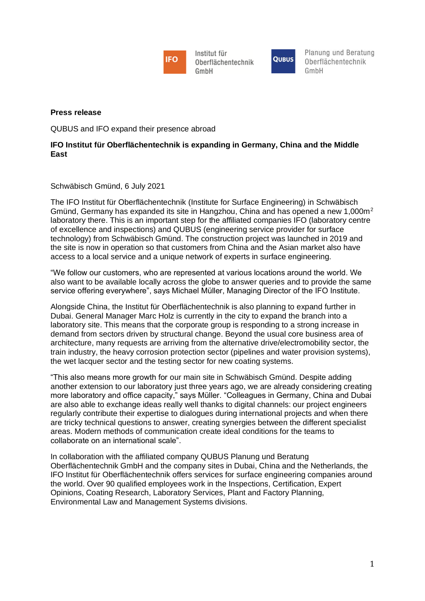

Institut für Oberflächentechnik GmbH



Planung und Beratung Oberflächentechnik  $GmhH$ 

## **Press release**

QUBUS and IFO expand their presence abroad

## **IFO Institut für Oberflächentechnik is expanding in Germany, China and the Middle East**

Schwäbisch Gmünd, 6 July 2021

The IFO Institut für Oberflächentechnik (Institute for Surface Engineering) in Schwäbisch Gmünd, Germany has expanded its site in Hangzhou, China and has opened a new 1,000 $m<sup>2</sup>$ laboratory there. This is an important step for the affiliated companies IFO (laboratory centre of excellence and inspections) and QUBUS (engineering service provider for surface technology) from Schwäbisch Gmünd. The construction project was launched in 2019 and the site is now in operation so that customers from China and the Asian market also have access to a local service and a unique network of experts in surface engineering.

"We follow our customers, who are represented at various locations around the world. We also want to be available locally across the globe to answer queries and to provide the same service offering everywhere", says Michael Müller, Managing Director of the IFO Institute.

Alongside China, the Institut für Oberflächentechnik is also planning to expand further in Dubai. General Manager Marc Holz is currently in the city to expand the branch into a laboratory site. This means that the corporate group is responding to a strong increase in demand from sectors driven by structural change. Beyond the usual core business area of architecture, many requests are arriving from the alternative drive/electromobility sector, the train industry, the heavy corrosion protection sector (pipelines and water provision systems), the wet lacquer sector and the testing sector for new coating systems.

"This also means more growth for our main site in Schwäbisch Gmünd. Despite adding another extension to our laboratory just three years ago, we are already considering creating more laboratory and office capacity," says Müller. "Colleagues in Germany, China and Dubai are also able to exchange ideas really well thanks to digital channels: our project engineers regularly contribute their expertise to dialogues during international projects and when there are tricky technical questions to answer, creating synergies between the different specialist areas. Modern methods of communication create ideal conditions for the teams to collaborate on an international scale".

In collaboration with the affiliated company QUBUS Planung und Beratung Oberflächentechnik GmbH and the company sites in Dubai, China and the Netherlands, the IFO Institut für Oberflächentechnik offers services for surface engineering companies around the world. Over 90 qualified employees work in the Inspections, Certification, Expert Opinions, Coating Research, Laboratory Services, Plant and Factory Planning, Environmental Law and Management Systems divisions.